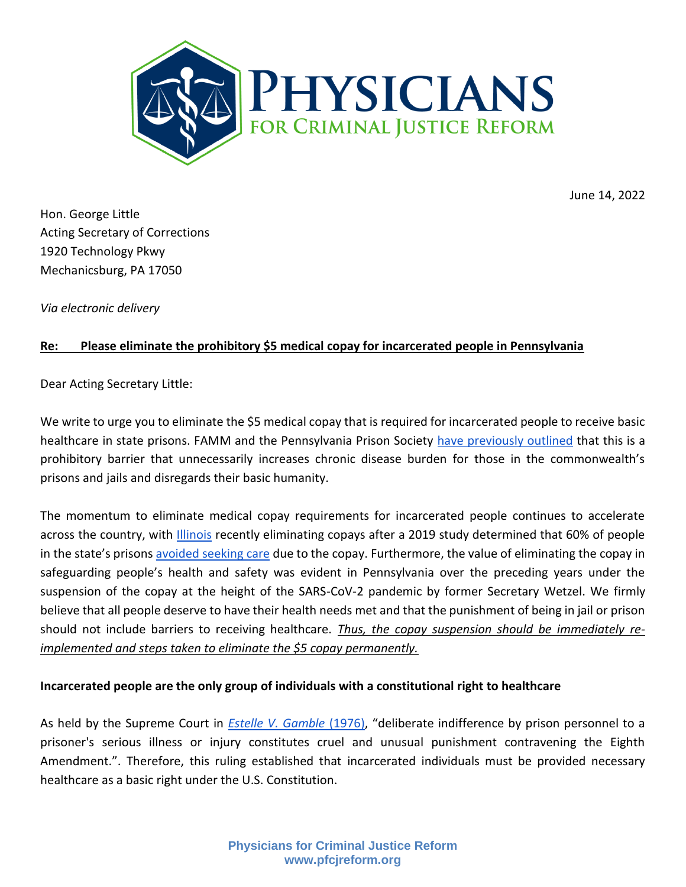

June 14, 2022

Hon. George Little Acting Secretary of Corrections 1920 Technology Pkwy Mechanicsburg, PA 17050

*Via electronic delivery*

# **Re: Please eliminate the prohibitory \$5 medical copay for incarcerated people in Pennsylvania**

Dear Acting Secretary Little:

We write to urge you to eliminate the \$5 medical copay that is required for incarcerated people to receive basic healthcare in state prisons. FAMM and the Pennsylvania Prison Society [have previously outlined](https://famm.org/famm-and-pennsylvania-prison-society-urge-pennsylvanias-secretary-of-corrections-to-end-5-medical-copays-for-incarcerated-people/) that this is a prohibitory barrier that unnecessarily increases chronic disease burden for those in the commonwealth's prisons and jails and disregards their basic humanity.

The momentum to eliminate medical copay requirements for incarcerated people continues to accelerate across the country, with *Illinois* recently eliminating copays after a 2019 study determined that 60% of people in the state's prisons [avoided seeking care](https://www.thejha.org/success-stories/eliminating-medical-co-pays-for-prisoners) due to the copay. Furthermore, the value of eliminating the copay in safeguarding people's health and safety was evident in Pennsylvania over the preceding years under the suspension of the copay at the height of the SARS-CoV-2 pandemic by former Secretary Wetzel. We firmly believe that all people deserve to have their health needs met and that the punishment of being in jail or prison should not include barriers to receiving healthcare. *Thus, the copay suspension should be immediately reimplemented and steps taken to eliminate the \$5 copay permanently.*

#### **Incarcerated people are the only group of individuals with a constitutional right to healthcare**

As held by the Supreme Court in *[Estelle V. Gamble](https://supreme.justia.com/cases/federal/us/429/97/)* (1976), "deliberate indifference by prison personnel to a prisoner's serious illness or injury constitutes cruel and unusual punishment contravening the Eighth Amendment.". Therefore, this ruling established that incarcerated individuals must be provided necessary healthcare as a basic right under the U.S. Constitution.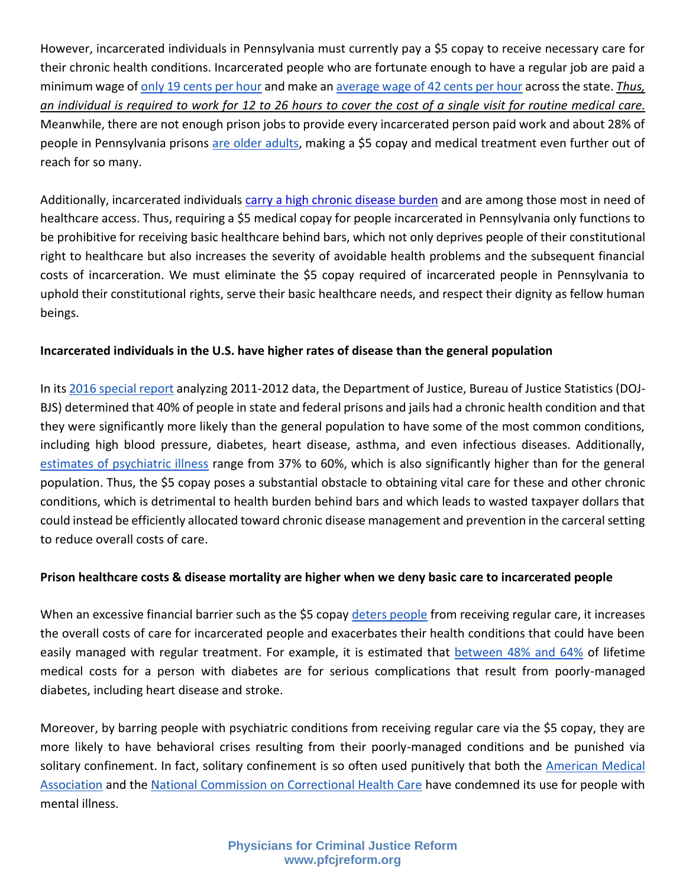However, incarcerated individuals in Pennsylvania must currently pay a \$5 copay to receive necessary care for their chronic health conditions. Incarcerated people who are fortunate enough to have a regular job are paid a minimum wage of [only 19 cents per hour](https://www.prisonpolicy.org/blog/2017/04/10/wages/) and make an [average wage of 42 cents per hour](https://www.legis.state.pa.us/cfdocs/Legis/CSM/showMemoPublic.cfm?chamber=H&SPick=20210&cosponId=35805) across the state. *Thus, an individual is required to work for 12 to 26 hours to cover the cost of a single visit for routine medical care.*  Meanwhile, there are not enough prison jobs to provide every incarcerated person paid work and about 28% of people in Pennsylvania prisons [are older adults,](https://dashboard.cor.pa.gov/us-pa/narratives/prison/2) making a \$5 copay and medical treatment even further out of reach for so many.

Additionally, incarcerated individuals [carry a high chronic disease burden](https://www.ojp.gov/library/publications/medical-problems-reported-prisoners-survey-prison-inmates-2016) and are among those most in need of healthcare access. Thus, requiring a \$5 medical copay for people incarcerated in Pennsylvania only functions to be prohibitive for receiving basic healthcare behind bars, which not only deprives people of their constitutional right to healthcare but also increases the severity of avoidable health problems and the subsequent financial costs of incarceration. We must eliminate the \$5 copay required of incarcerated people in Pennsylvania to uphold their constitutional rights, serve their basic healthcare needs, and respect their dignity as fellow human beings.

# **Incarcerated individuals in the U.S. have higher rates of disease than the general population**

In it[s 2016 special report](https://www.bjs.gov/content/pub/pdf/mpsfpji1112.pdf) analyzing 2011-2012 data, the Department of Justice, Bureau of Justice Statistics (DOJ-BJS) determined that 40% of people in state and federal prisons and jails had a chronic health condition and that they were significantly more likely than the general population to have some of the most common conditions, including high blood pressure, diabetes, heart disease, asthma, and even infectious diseases. Additionally, [estimates of psychiatric illness](https://pubmed.ncbi.nlm.nih.gov/30365288/) range from 37% to 60%, which is also significantly higher than for the general population. Thus, the \$5 copay poses a substantial obstacle to obtaining vital care for these and other chronic conditions, which is detrimental to health burden behind bars and which leads to wasted taxpayer dollars that could instead be efficiently allocated toward chronic disease management and prevention in the carceral setting to reduce overall costs of care.

# **Prison healthcare costs & disease mortality are higher when we deny basic care to incarcerated people**

When an excessive financial barrier such as the \$5 copay [deters people](https://medium.com/famm/we-must-end-barriers-to-health-care-79749a5f799c) from receiving regular care, it increases the overall costs of care for incarcerated people and exacerbates their health conditions that could have been easily managed with regular treatment. For example, it is estimated that [between 48% and 64%](https://pubmed.ncbi.nlm.nih.gov/23953350/) of lifetime medical costs for a person with diabetes are for serious complications that result from poorly-managed diabetes, including heart disease and stroke.

Moreover, by barring people with psychiatric conditions from receiving regular care via the \$5 copay, they are more likely to have behavioral crises resulting from their poorly-managed conditions and be punished via solitary confinement. In fact, solitary confinement is so often used punitively that both the [American Medical](https://www.ama-assn.org/sites/ama-assn.org/files/corp/media-browser/public/hod/a18-reference-committee-reports.pdf)  [Association](https://www.ama-assn.org/sites/ama-assn.org/files/corp/media-browser/public/hod/a18-reference-committee-reports.pdf) and the [National Commission on Correctional Health Care](https://www.ncchc.org/solitary-confinement) have condemned its use for people with mental illness.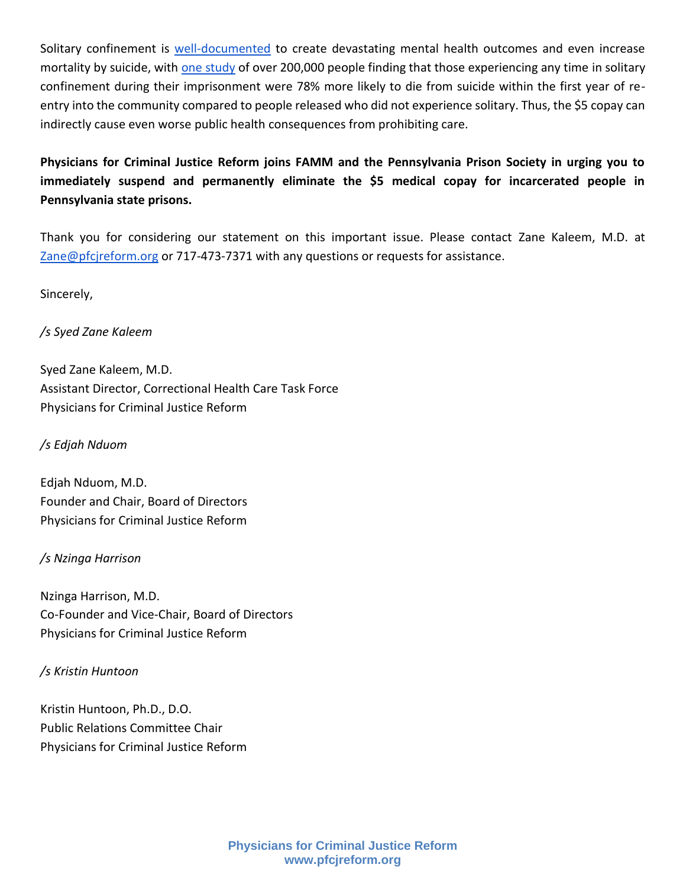Solitary confinement is [well-documented](https://www.vera.org/publications/the-impacts-of-solitary-confinement) to create devastating mental health outcomes and even increase mortality by suicide, with [one study](https://jamanetwork.com/journals/jamanetworkopen/fullarticle/2752350) of over 200,000 people finding that those experiencing any time in solitary confinement during their imprisonment were 78% more likely to die from suicide within the first year of reentry into the community compared to people released who did not experience solitary. Thus, the \$5 copay can indirectly cause even worse public health consequences from prohibiting care.

# **Physicians for Criminal Justice Reform joins FAMM and the Pennsylvania Prison Society in urging you to immediately suspend and permanently eliminate the \$5 medical copay for incarcerated people in Pennsylvania state prisons.**

Thank you for considering our statement on this important issue. Please contact Zane Kaleem, M.D. at [Zane@pfcjreform.org](mailto:Zane@pfcjreform.org) or 717-473-7371 with any questions or requests for assistance.

Sincerely,

# */s Syed Zane Kaleem*

Syed Zane Kaleem, M.D. Assistant Director, Correctional Health Care Task Force Physicians for Criminal Justice Reform

### */s Edjah Nduom*

Edjah Nduom, M.D. Founder and Chair, Board of Directors Physicians for Criminal Justice Reform

# */s Nzinga Harrison*

Nzinga Harrison, M.D. Co-Founder and Vice-Chair, Board of Directors Physicians for Criminal Justice Reform

# */s Kristin Huntoon*

Kristin Huntoon, Ph.D., D.O. Public Relations Committee Chair Physicians for Criminal Justice Reform